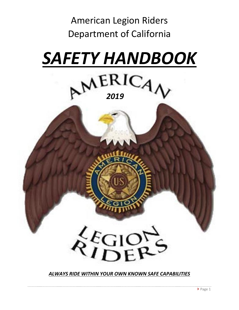

# *SAFETY HANDBOOK*





 $k_{\text{IDE}}^{\text{E}}$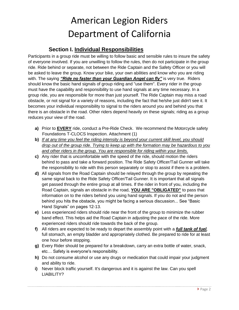#### **Section I. Individual Responsibilities**

Participants in a group ride must be willing to follow basic and sensible rules to insure the safety of everyone involved. If you are unwilling to follow the rules, then do not participate in the group ride. Ride behind or separate, not between the Ride Captain and the Safety Officer or you will be asked to leave the group. Know your bike, your own abilities and know who you are riding with. The saying *"Ride no faster than your Guardian Angel can fly"* is very true. Riders should know the basic hand signals of group riding and "use them". Every rider in the group must have the capability and responsibility to use hand signals at any time necessary. In a group ride, you are responsible for more than just yourself. The Ride Captain may miss a road obstacle, or not signal for a variety of reasons, including the fact that he/she just didn't see it. It becomes your individual responsibility to signal to the riders around you and behind you that there is an obstacle in the road. Other riders depend heavily on these signals; riding as a group reduces your view of the road.

- **a)** Prior to **EVERY** ride, conduct a Pre-Ride Check. We recommend the Motorcycle safety Foundations T-CLOCS Inspection. Attachment (1)
- **b)** *If at any time you feel the riding intensity is beyond your current skill level, you should drop out of the group ride. Trying to keep up with the formation may be hazardous to you and other riders in the group. You are responsible for riding within your limits.*
- **c)** Any rider that is uncomfortable with the speed of the ride, should motion the riders behind to pass and take a forward position. The Ride Safety Officer/Tail Gunner will take the responsibility to ride with this person separately or stop to assist if there is a problem.
- **d)** All signals from the Road Captain should be relayed through the group by repeating the same signal back to the Ride Safety Officer/Tail Gunner. It is important that all signals get passed through the entire group at all times. If the rider in front of you, including the Road Captain, signals an obstacle in the road, **YOU ARE "OBLIGATED"** to pass that information on to the riders behind you using hand signals. If you do not and the person behind you hits the obstacle, you might be facing a serious discussion... See "Basic Hand Signals" on pages 12-13.
- **e)** Less experienced riders should ride near the front of the group to minimize the rubber band effect. This helps aid the Road Captain in adjusting the pace of the ride. More experienced riders should ride towards the back of the group.
- **f)** All riders are expected to be ready to depart the assembly point with a *full tank of fuel,* full stomach, an empty bladder and appropriately clothed. Be prepared to ride for at least one hour before stopping.
- **g)** Every Rider should be prepared for a breakdown, carry an extra bottle of water, snack, etc… Safety is everyone's responsibility.
- **h)** Do not consume alcohol or use any drugs or medication that could impair your judgment and ability to ride.
- **i)** Never block traffic yourself. It's dangerous and it is against the law. Can you spell LIABILITY?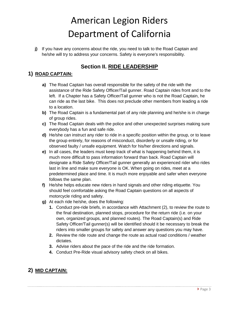**j)** If you have any concerns about the ride, you need to talk to the Road Captain and he/she will try to address your concerns. Safety is everyone's responsibility.

#### **Section II. RIDE LEADERSHIP**

#### **1) ROAD CAPTAIN:**

- **a)** The Road Captain has overall responsible for the safety of the ride with the assistance of the Ride Safety Officer/Tail gunner. Road Captain rides front and to the left. If a Chapter has a Safety Officer/Tail gunner who is not the Road Captain, he can ride as the last bike. This does not preclude other members from leading a ride to a location.
- **b)** The Road Captain is a fundamental part of any ride planning and he/she is in charge of group rides.
- **c)** The Road Captain deals with the police and other unexpected surprises making sure everybody has a fun and safe ride.
- **d)** He/she can instruct any rider to ride in a specific position within the group, or to leave the group entirely, for reasons of misconduct, disorderly or unsafe riding, or for observed faulty / unsafe equipment. Watch for his/her directions and signals.
- **e)** In all cases, the leaders must keep track of what is happening behind them, it is much more difficult to pass information forward than back. Road Captain will designate a Ride Safety Officer/Tail gunner generally an experienced rider who rides last in line and make sure everyone is OK. When going on rides, meet at a predetermined place and time. It is much more enjoyable and safer when everyone follows the same plan.
- **f)** He/she helps educate new riders in hand signals and other riding etiquette. You should feel comfortable asking the Road Captain questions on all aspects of motorcycle riding and safety.
- **g)** At each ride he/she, does the following:
	- **1.** Conduct pre-ride briefs, in accordance with Attachment (2), to review the route to the final destination, planned stops, procedure for the return ride (i.e. on your own, organized groups, and planned routes). The Road Captain(s) and Ride Safety Officer/Tail gunner(s) will be identified should it be necessary to break the riders into smaller groups for safety and answer any questions you may have.
	- **2.** Review the ride route and change the route as actual road conditions / weather dictates.
	- **3.** Advise riders about the pace of the ride and the ride formation.
	- **4.** Conduct Pre-Ride visual advisory safety check on all bikes.

#### **2) MID CAPTAIN:**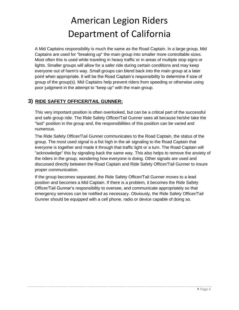A Mid Captains responsibility is much the same as the Road Captain. In a large group, Mid Captains are used for "breaking up" the main group into smaller more controllable sizes. Most often this is used while traveling in heavy traffic or in areas of multiple stop signs or lights. Smaller groups will allow for a safer ride during certain conditions and may keep everyone out of harm's way. Small groups can blend back into the main group at a later point when appropriate. It will be the Road Captain's responsibility to determine if size of group of the group(s). Mid Captains help prevent riders from speeding or otherwise using poor judgment in the attempt to "keep up" with the main group.

#### **3) RIDE SAFETY OFFICER/TAIL GUNNER:**

This very important position is often overlooked, but can be a critical part of the successful and safe group ride. The Ride Safety Officer/Tail Gunner sees all because he/she take the "last" position in the group and, the responsibilities of this position can be varied and numerous.

The Ride Safety Officer/Tail Gunner communicates to the Road Captain, the status of the group. The most used signal is a fist high in the air signaling to the Road Captain that everyone is together and made it through that traffic light or a turn. The Road Captain will "acknowledge" this by signaling back the same way. This also helps to remove the anxiety of the riders in the group, wondering how everyone is doing. Other signals are used and discussed directly between the Road Captain and Ride Safety Officer/Tail Gunner to insure proper communication.

If the group becomes separated, the Ride Safety Officer/Tail Gunner moves to a lead position and becomes a Mid Captain. If there is a problem, it becomes the Ride Safety Officer/Tail Gunner's responsibility to oversee, and communicate appropriately so that emergency services can be notified as necessary. Obviously, the Ride Safety Officer/Tail Gunner should be equipped with a cell phone, radio or device capable of doing so.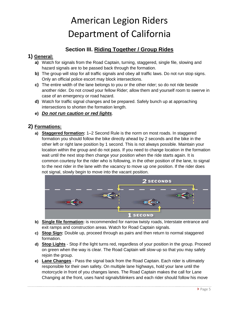#### **Section III. Riding Together / Group Rides**

#### **1) General:**

- **a)** Watch for signals from the Road Captain, turning, staggered, single file, slowing and hazard signals are to be passed back through the formation.
- **b)** The group will stop for all traffic signals and obey all traffic laws. Do not run stop signs. Only an official police escort may block intersections.
- **c)** The entire width of the lane belongs to you or the other rider; so do not ride beside another rider. Do not crowd your fellow Rider; allow them and yourself room to swerve in case of an emergency or road hazard.
- **d)** Watch for traffic signal changes and be prepared. Safely bunch up at approaching intersections to shorten the formation length.
- **e)** *Do not run caution or red lights.*

#### **2) Formations:**

**a) Staggered formation:** 1–2 Second Rule is the norm on most roads. In staggered formation you should follow the bike directly ahead by 2 seconds and the bike in the other left or right lane position by 1 second. This is not always possible. Maintain your location within the group and do not pass. If you need to change location in the formation wait until the next stop then change your position when the ride starts again. It is common courtesy for the rider who is following, in the other position of the lane, to signal to the next rider in the lane with the vacancy to move up one position. If the rider does not signal, slowly begin to move into the vacant position.



- **b) Single file formation:** is recommended for narrow twisty roads, Interstate entrance and exit ramps and construction areas. Watch for Road Captain signals.
- **c) Stop Sign:** Double up, proceed through as pairs and then return to normal staggered formation.
- **d) Stop Lights** Stop if the light turns red, regardless of your position in the group. Proceed on green when the way is clear. The Road Captain will slow-up so that you may safely rejoin the group.
- **e) Lane Changes** Pass the signal back from the Road Captain. Each rider is ultimately responsible for their own safety. On multiple lane highways, hold your lane until the motorcycle in front of you changes lanes. The Road Captain makes the call for Lane Changing at the front, uses hand signals/blinkers and each rider should follow his move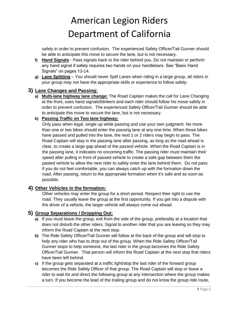safely in order to prevent confusion. The experienced Safety Officer/Tail Gunner should be able to anticipate this move to secure the lane, but is not necessary.

- **f) Hand Signals** Pass signals back to the rider behind you. Do not maintain or perform any hand signal if safety requires two hands on your handlebars. See "Basic Hand Signals" on pages 13-14.
- **g) Lane Splitting** You should never *Split Lanes* when riding in a large group, all riders in your group may not have the appropriate skills or experience to follow safely.

#### **3) Lane Changes and Passing:**

- **a) Multi-lane highway lane change:** The Road Captain makes the call for Lane Changing at the front, uses hand signals/blinkers and each rider should follow his move safely in order to prevent confusion. The experienced Safety Officer/Tail Gunner should be able to anticipate this move to secure the lane, but is not necessary.
- **b) Passing Traffic on Two lane highway:**

Only pass when legal, single up while passing and use your own judgment. No more than one or two bikes should enter the passing lane at any one time. When those bikes have passed and pulled into the lane, the next 1 or 2 riders may begin to pass. The Road Captain will stay in the passing lane after passing, as long as the road ahead is clear, to create a large gap ahead of the passed vehicle. When the Road Captain is in the passing lane, it indicates no oncoming traffic. The passing rider must maintain their speed after pulling in front of passed vehicle to create a safe gap between them the pasted vehicle to allow the next rider to safely enter the lane behind them. Do not pass if you do not feel comfortable, you can always catch up with the formation down the road. After passing, return to the appropriate formation when it's safe and as soon as possible.

#### **4) Other Vehicles in the formation:**

Other vehicles may enter the group for a short period. Respect their right to use the road. They usually leave the group at the first opportunity. If you get into a dispute with the driver of a vehicle, the larger vehicle will always come out ahead.

#### **5) Group Separations / Dropping Out:**

- **a)** If you must leave the group, exit from the side of the group, preferably at a location that does not disturb the other riders. Signal to another rider that you are leaving so they may inform the Road Captain at the next stop.
- **b)** The Ride Safety Officer/Tail Gunner will follow at the back of the group and will stop to help any rider who has to drop out of the group. When the Ride Safety Officer/Tail Gunner stops to help someone, the last rider in the group becomes the Ride Safety Officer/Tail Gunner. That person will inform the Road Captain at the next stop that riders have been left behind.
- **c)** If the group gets separated at a traffic light/stop the last rider of the forward group becomes the Ride Safety Officer of that group. The Road Captain will stop or leave a rider to wait for and direct the following group at any intersection where the group makes a turn. If you become the lead of the trailing group and do not know the group ride route,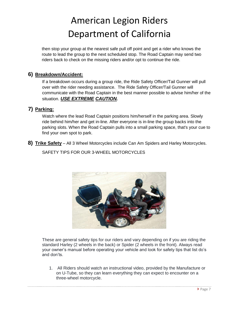then stop your group at the nearest safe pull off point and get a rider who knows the route to lead the group to the next scheduled stop. The Road Captain may send two riders back to check on the missing riders and/or opt to continue the ride.

#### **6) Breakdown/Accident:**

If a breakdown occurs during a group ride, the Ride Safety Officer/Tail Gunner will pull over with the rider needing assistance. The Ride Safety Officer/Tail Gunner will communicate with the Road Captain in the best manner possible to advise him/her of the situation. *USE EXTREME CAUTION.*

#### **7) Parking:**

Watch where the lead Road Captain positions him/herself in the parking area. Slowly ride behind him/her and get in-line. After everyone is in-line the group backs into the parking slots. When the Road Captain pulls into a small parking space, that's your cue to find your own spot to park.

**8) Trike Safety** – All 3 Wheel Motorcycles include Can Am Spiders and Harley Motorcycles.

SAFETY TIPS FOR OUR 3-WHEEL MOTORCYCLES



These are general safety tips for our riders and vary depending on if you are riding the standard Harley (2 wheels in the back) or Spider (2 wheels in the front). Always read your owner's manual before operating your vehicle and look for safety tips that list do's and don'ts.

1. All Riders should watch an instructional video, provided by the Manufacture or on U-Tube, so they can learn everything they can expect to encounter on a three-wheel motorcycle.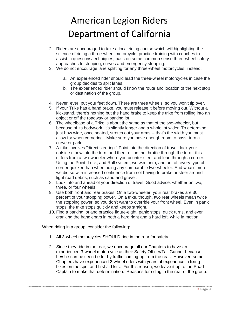- 2. Riders are encouraged to take a local riding course which will highlighting the science of riding a three-wheel motorcycle, practice training with coaches to assist in questions/techniques, pass on some common sense three-wheel safety approaches to stopping, curves and emergency stopping.
- 3. We do not encourage lane splitting for any three-wheel motorcycles, instead:
	- a. An experienced rider should lead the three-wheel motorcycles in case the group decides to split lanes.
	- b. The experienced rider should know the route and location of the next stop or destination of the group.
- 4. Never, ever, put your feet down. There are three wheels, so you won't tip over.
- 5. If your Trike has a hand brake, you must release it before moving out. Without a kickstand, there's nothing but the hand brake to keep the trike from rolling into an object or off the roadway or parking lot.
- 6. The wheelbase of a Trike is about the same as that of the two-wheeler, but because of its bodywork, it's slightly longer and a whole lot wider. To determine just how wide, once seated, stretch out your arms -- that's the width you must allow for when cornering. Make sure you have enough room to pass, turn a curve or park.
- 7. A trike involves "direct steering." Point into the direction of travel, lock your outside elbow into the turn, and then roll on the throttle through the turn - this differs from a two-wheeler where you counter steer and lean through a corner. Using the Point, Lock, and Roll system, we went into, and out of, every type of corner quicker than when riding any comparable two-wheeler. And what's more, we did so with increased confidence from not having to brake or steer around light road debris, such as sand and gravel.
- 8. Look into and ahead of your direction of travel. Good advice, whether on two, three, or four wheels.
- 9. Use both front and rear brakes. On a two-wheeler, your rear brakes are 30 percent of your stopping power. On a trike, though, two rear wheels mean twice the stopping power, so you don't want to override your front wheel. Even in panic stops, the trike stops quickly and keeps straight.
- 10. Find a parking lot and practice figure-eight, panic stops, quick turns, and even cranking the handlebars in both a hard right and a hard left, while in motion.

When riding in a group, consider the following:

- 1. All 3-wheel motorcycles SHOULD ride in the rear for safety.
- 2. Since they ride in the rear, we encourage all our Chapters to have an experienced 3-wheel motorcycle as their Safety Officer/Tail Gunner because he/she can be seen better by traffic coming up from the rear. However, some Chapters have experienced 2-wheel riders with years of experience in fixing bikes on the spot and first aid kits. For this reason, we leave it up to the Road Captain to make that determination. Reasons for riding in the rear of the group: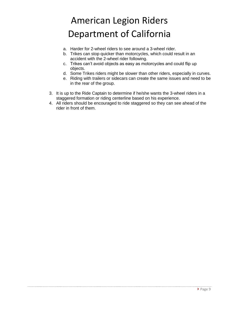- a. Harder for 2-wheel riders to see around a 3-wheel rider.
- b. Trikes can stop quicker than motorcycles, which could result in an accident with the 2-wheel rider following.
- c. Trikes can't avoid objects as easy as motorcycles and could flip up objects.
- d. Some Trikes riders might be slower than other riders, especially in curves.
- e. Riding with trailers or sidecars can create the same issues and need to be in the rear of the group.
- 3. It is up to the Ride Captain to determine if he/she wants the 3-wheel riders in a staggered formation or riding centerline based on his experience.
- 4. All riders should be encouraged to ride staggered so they can see ahead of the rider in front of them.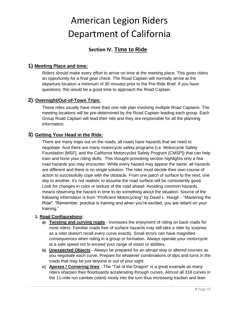#### **Section IV. Time to Ride**

#### **1) Meeting Place and time:**

Riders should make every effort to arrive on time at the meeting place. This gives riders an opportunity for a final gear check. The Road Captain will normally arrive at the departure location a minimum of 30 minutes prior to the Pre-Ride Brief. If you have questions, this would be a good time to approach the Road Captain.

#### **2) Overnight/Out-of-Town Trips:**

These rides usually have more than one ride plan involving multiple Road Captains. The meeting locations will be pre-determined by the Road Captain leading each group. Each Group Road Captain will lead their ride and they are responsible for all the planning information.

#### **3) Getting Your Head in the Ride:**

There are many traps out on the roads, all roads have hazards that we need to negotiate. And there are many motorcycle safety programs (i.e. Motorcycle Safety Foundation [MSF], and the California Motorcyclist Safety Program [CMSP]) that can help train and hone your riding skills. This thought-provoking section highlights only a few road hazards you may encounter. While every hazard may appear the same; all hazards are different and there is no single solution. The rider must decide their own course of action to successfully cope with the obstacle. From one patch of surface to the next, one day to another, it's not realistic to assume the road surface will be consistently good. Look for changes in color or texture of the road ahead. Avoiding common hazards means observing the hazard in time to do something about the situation. Source of the following information is from "Proficient Motorcycling" by David L. Hough - "Mastering the Ride". "Remember, practice is training and when you're excited, you are reliant on your training."

#### **1. Road Configurations:**

- **a) Twisting and curving roads** Increases the enjoyment of riding on back roads for most riders. Familiar roads free of surface hazards may still take a rider by surprise as a rider doesn't recall every curve exactly. Small errors can have magnified consequences when riding in a group or formation. Always operate your motorcycle at a safe speed not to exceed your range of vision or abilities.
- **b) Unexpected Objects** Always be prepared for an abrupt stop or altered courses as you negotiate each curve. Prepare for whatever combinations of dips and turns in the roads that may be just beyond or out of your sight.
- **c) Apexes / Cornering lines** The "Tail of the Dragon" is a great example as many riders sharpen their floorboards accelerating through curves. Almost all 318 curves in the 11-mile run camber (slant) nicely into the turn thus increasing traction and lean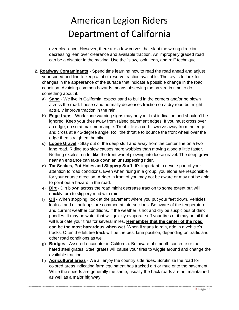over clearance. However, there are a few curves that slant the wrong direction decreasing lean over clearance and available traction. An improperly graded road can be a disaster in the making. Use the "slow, look, lean, and roll" technique

- **2. Roadway Contaminants** Spend time learning how to read the road ahead and adjust your speed and line to keep a lot of reserve traction available. The key is to look for changes in the appearance of the surface that indicate a possible change in the road condition. Avoiding common hazards means observing the hazard in time to do something about it.
	- **a) Sand** We live in California, expect sand to build in the corners and/or be blown across the road. Loose sand normally decreases traction on a dry road but might actually improve traction in the rain.
	- **b) Edge traps** Work zone warning signs may be your first indication and shouldn't be ignored. Keep your tires away from raised pavement edges. If you must cross over an edge, do so at maximum angle. Treat it like a curb, swerve away from the edge and cross at a 45-degree angle. Roll the throttle to bounce the front wheel over the edge then straighten the bike.
	- **c) Loose Gravel** Stay out of the deep stuff and away from the center line on a two lane road. Riding too slow causes more wobbles than moving along a little faster. Nothing excites a rider like the front wheel plowing into loose gravel. The deep gravel near an entrance can take down an unsuspecting rider.
	- **d) Tar Snakes, Pot Holes and Slippery Stuff** -It's important to devote part of your attention to road conditions. Even when riding in a group, you alone are responsible for your course direction. A rider in front of you may not be aware or may not be able to point out a hazard in the road.
	- **e) Dirt** Dirt blown across the road might decrease traction to some extent but will quickly turn to slippery mud with rain.
	- **f) Oil** When stopping, look at the pavement where you put your feet down. Vehicles leak oil and oil buildups are common at intersections. Be aware of the temperature and current weather conditions. If the weather is hot and dry be suspicious of dark puddles. It may be water that will quickly evaporate off your tires or it may be oil that will lubricate your tires for several miles. **Remember that the center of the road can be the most hazardous when wet.** When it starts to rain, ride in a vehicle's tracks. Often the left tire track will be the best lane position, depending on traffic and other road conditions as well.
	- **g) Bridges** Assured encounter in California. Be aware of smooth concrete or the hated steel grates. Steel grates will cause your tires to wiggle around and change the available traction.
	- **h) Agricultural areas** We all enjoy the country side rides. Scrutinize the road for colored areas indicating farm equipment has tracked dirt or mud onto the pavement. While the speeds are generally the same, usually the back roads are not maintained as well as a major highway.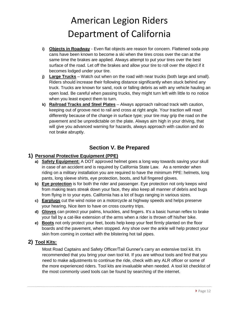- **i) Objects in Roadway** Even flat objects are reason for concern. Flattened soda pop cans have been known to become a ski when the tires cross over the can at the same time the brakes are applied. Always attempt to put your tires over the best surface of the road. Let off the brakes and allow your tire to roll over the object if it becomes lodged under your tire.
- **j) Large Trucks** Watch out when on the road with near trucks (both large and small). Riders should increase their following distance significantly when stuck behind any truck. Trucks are known for sand, rock or falling debris as with any vehicle hauling an open load. Be careful when passing trucks, they might turn left with little to no notice when you least expect them to turn.
- **k) Railroad Tracks and Steel Plates** Always approach railroad track with caution, keeping out of groove next to rail and cross at right angle. Your traction will react differently because of the change in surface type; your tire may grip the road on the pavement and be unpredictable on the plate. Always aim high in your driving, that will give you advanced warning for hazards, always approach with caution and do not brake abruptly.

#### **Section V. Be Prepared**

#### **1) Personal Protective Equipment (PPE)**

- **a) Safety Equipment:** A DOT approved helmet goes a long way towards saving your skull in case of an accident and is required by California State Law. As a reminder when riding on a military installation you are required to have the minimum PPE: helmets, long pants, long sleeve shirts, eye protection, boots, and full fingered gloves.
- **b) Eye protection** is for both the rider and passenger. Eye protection not only keeps wind from making tears streak down your face, they also keep all manner of debris and bugs from flying in to your eyes. California has a lot of bugs ranging in various sizes.
- **c) Earplugs** cut the wind noise on a motorcycle at highway speeds and helps preserve your hearing. Nice item to have on cross country trips.
- **d) Gloves** can protect your palms, knuckles, and fingers. It's a basic human reflex to brake your fall by a cat-like extension of the arms when a rider is thrown off his/her bike.
- **e) Boots** not only protect your feet, boots help keep your feet firmly planted on the floor boards and the pavement, when stopped. Any shoe over the ankle will help protect your skin from coming in contact with the blistering hot tail pipes.

#### **2) Tool Kits:**

Most Road Captains and Safety Officer/Tail Gunner's carry an extensive tool kit. It's recommended that you bring your own tool kit. If you are without tools and find that you need to make adjustments to continue the ride, check with any ALR officer or some of the more experienced riders. Tool kits are invaluable when needed. A tool kit checklist of the most commonly used tools can be found by searching of the internet.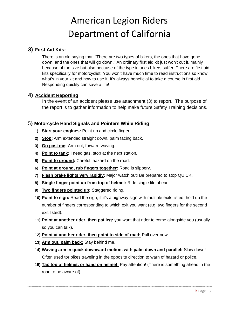#### **3) First Aid Kits:**

There is an old saying that, "There are two types of bikers, the ones that have gone down, and the ones that will go down." An ordinary first aid kit just won't cut it, mainly because of the size but also because of the type injuries bikers suffer. There are first aid kits specifically for motorcyclist. You won't have much time to read instructions so know what's in your kit and how to use it. It's always beneficial to take a course in first aid. Responding quickly can save a life!

#### **4) Accident Reporting**

In the event of an accident please use attachment (3) to report. The purpose of the report is to gather information to help make future Safety Training decisions.

#### **5) Motorcycle Hand Signals and Pointers While Riding**

- **1) Start your engines:** Point up and circle finger.
- **2) Stop:** Arm extended straight down, palm facing back.
- **3) Go past me:** Arm out, forward waving.
- **4) Point to tank:** I need gas, stop at the next station.
- **5) Point to ground:** Careful, hazard on the road.
- **6) Point at ground, rub fingers together:** Road is slippery.
- **7) Flash brake lights very rapidly:** Major watch out! Be prepared to stop QUICK.
- **8) Single finger point up from top of helmet:** Ride single file ahead.
- **9) Two fingers pointed up:** Staggered riding.
- **10) Point to sign:** Read the sign, if it's a highway sign with multiple exits listed, hold up the number of fingers corresponding to which exit you want (e.g. two fingers for the second exit listed).
- **11) Point at another rider, then pat leg:** you want that rider to come alongside you (usually so you can talk).
- **12) Point at another rider, then point to side of road:** Pull over now.
- **13) Arm out, palm back:** Stay behind me.
- **14) Waving arm in quick downward motion, with palm down and parallel:** Slow down! Often used tor bikes traveling in the opposite direction to warn of hazard or police.
- **15) Tap top of helmet, or hand on helmet:** Pay attention! (There is something ahead in the road to be aware of).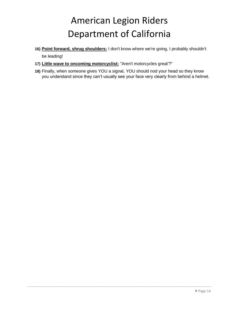- **16) Point forward, shrug shoulders:** I don't know where we're going, I probably shouldn't be leading!
- **17) Little wave to oncoming motorcyclist:** "Aren't motorcycles great'?"
- **18)** Finally, when someone gives YOU a signal, YOU should nod your head so they know you understand since they can't usually see your face very clearly from behind a helmet.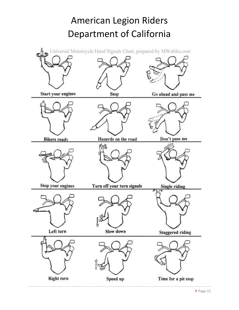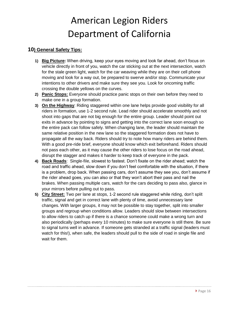#### **10) General Safety Tips:**

- **1) Big Picture:** When driving, keep your eyes moving and look far ahead, don't focus on vehicle directly in front of you, watch the car sticking out at the next intersection, watch for the stale green light, watch for the car weaving while they are on their cell phone moving and look for a way out, be prepared to swerve and/or stop. Communicate your intentions to other drivers and make sure they see you. Look for oncoming traffic crossing the double yellows on the curves.
- **2) Panic Stops:** Everyone should practice panic stops on their own before they need to make one in a group formation.
- **3) On the Highway**: Riding staggered within one lane helps provide good visibility for all riders in formation, use 1-2 second rule. Lead rider should accelerate smoothly and not shoot into gaps that are not big enough for the entire group. Leader should point out exits in advance by pointing to signs and getting into the correct lane soon enough so the entire pack can follow safely. When changing lane, the leader should maintain the same relative position in the new lane so the staggered formation does not have to propagate all the way back. Riders should try to note how many riders are behind them. With a good pre-ride brief, everyone should know which exit beforehand. Riders should not pass each other, as it may cause the other riders to lose focus on the road ahead, disrupt the stagger and makes it harder to keep track of everyone in the pack.
- **4) Back Roads**: Single-fiIe, slowest to fastest. Don't fixate on the rider ahead; watch the road and traffic ahead, slow down if you don't feel comfortable with the situation, if there is a problem, drop back. When passing cars, don't assume they see you, don't assume if the rider ahead goes, you can also or that they won't abort their pass and nail the brakes. When passing multiple cars, watch for the cars deciding to pass also, glance in your mirrors before pulling out to pass.
- **5) City Street:** Two per lane at stops, 1-2 second rule staggered while riding, don't split traffic, signal and get in correct lane with plenty of time, avoid unnecessary lane changes. With larger groups, it may not be possible to stay together, split into smaller groups and regroup when conditions allow. Leaders should slow between intersections to allow riders to catch up if there is a chance someone could make a wrong turn and also periodically (perhaps every 10 minutes) to make sure everyone is still there. Be sure to signal turns well in advance. If someone gets stranded at a traffic signal (leaders must watch for this!), when safe, the leaders should pull to the side of road in single file and wait for them.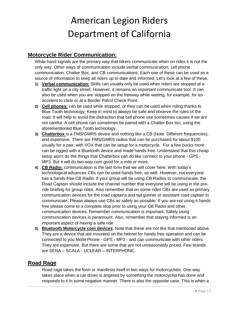#### **Motorcycle Rider Communication:**

While hand signals are the primary way that bikers communicate when on rides it is not the only way. Other ways of communication include verbal communication, cell phone communication, Chatter Box, and CB communications. Each one of these can be used as a source of information to keep all riders up to date and informed. Let's look at a few of these.

- **1) Verbal communication:** Skills can usually only be used when riders are stopped at a traffic light on a city street. However, it remains an important communicate tool. It can also be used when you are stopped on the freeway while waiting, for example, for an accident to clear or at a Border Patrol Check Point.
- **2) Cell phones:** can be used while stopped, or they can be used when riding thanks to Blue Tooth technology. Keep in mind to always be safe and observe the rules of the road. It will help to avoid the distraction that cell phone use sometimes causes if we are not careful. A cell phone can sometimes be paired with a Chatter Box too, using the aforementioned Blue Tooth technology.
- **3) Chatterbox** is a FMS/GMRS device and nothing like a CB (Note: Different frequencies). and expensive. There are FMS/GMRS radios that can be purchased for about \$100 usually for a pair, with VOX that can be setup for a motorcycle. For a few bucks more can be rigged with a Bluetooth device and made hands free. Understand that this cheap setup won't do the things that Chatterbox can do like connect to your phone - GPS - MP3. But it will do two-way com good for a mile or more.
- **4) CB Radio:** communication is the last form that we will cover here. With today's technological advances CBs can be used hands free, as well. However, not everyone has a hands-free CB Radio. If your group will be using CB Radios to communicate, the Road Captain should include the channel number that everyone will be using in the preride briefing for group rides. Also remember that on some rides CBs are used as primary communication devices for the road captains and tail gunner or assistant road captain to communicate. Please always use CBs as safely as possible. If you are not using it hands free please come to a complete stop prior to using your CB Radio and other communication devices. Remember communication is important. Safely using communication devices is paramount. Also, remember that staying informed is an important aspect of having a safe ride
- **5) Bluetooth Motorcycle com devices**. Note that these are not like that mentioned above. They are a device that are mounted on the helmet for hands free operation and can be connected to you Mobil Phone - GPS - MP3 - and can communicate with other riders. They are expensive. But there are some that are not unreasonably priced. Few brands are SENA – SCALA - UCLEAR – INTERPHONE.

#### **Road Rage**

Road rage takes the form or manifests itself in two ways for motorcyclists. One way takes place when a car driver is angered by something the motorcyclist has done and responds to it in some negative manner. There is also the opposite case. This is when a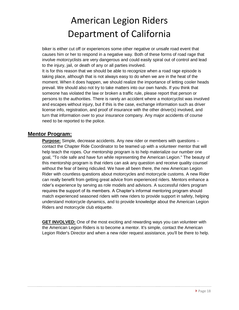biker is either cut off or experiences some other negative or unsafe road event that causes him or her to respond in a negative way. Both of these forms of road rage that involve motorcyclists are very dangerous and could easily spiral out of control and lead to the injury, jail, or death of any or all parties involved.

It is for this reason that we should be able to recognize when a road rage episode is taking place, although that is not always easy to do when we are in the heat of the moment. When it does happen, we should realize the importance of letting cooler heads prevail. We should also not try to take matters into our own hands. If you think that someone has violated the law or broken a traffic rule, please report that person or persons to the authorities. There is rarely an accident where a motorcyclist was involved and escapes without injury, but if this is the case, exchange information such as driver license info, registration, and proof of insurance with the other driver(s) involved, and turn that information over to your insurance company. Any major accidents of course need to be reported to the police.

#### **Mentor Program:**

**Purpose:** Simple, decrease accidents. Any new rider or members with questions – contact the Chapter Ride Coordinator to be teamed up with a volunteer mentor that will help teach the ropes. Our mentorship program is to help materialize our number one goal, "To ride safe and have fun while representing the American Legion." The beauty of this mentorship program is that riders can ask any question and receive quality counsel without the fear of being ridiculed. We have all been there, the new American Legion Rider with countless questions about motorcycles and motorcycle customs. A new Rider can really benefit from getting great advice from experienced riders. Mentors enhance a rider's experience by serving as role models and advisors. A successful riders program requires the support of its members. A Chapter's informal mentoring program should match experienced seasoned riders with new riders to provide support in safety, helping understand motorcycle dynamics, and to provide knowledge about the American Legion Riders and motorcycle club etiquette.

**GET INVOLVED:** One of the most exciting and rewarding ways you can volunteer with the American Legion Riders is to become a mentor. It's simple, contact the American Legion Rider's Director and when a new rider request assistance, you'll be there to help.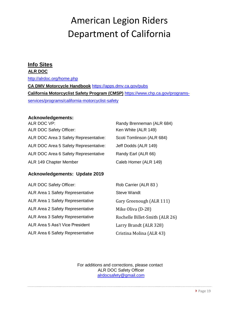#### **Info Sites**

#### **ALR DOC**

<http://alrdoc.org/home.php>

**CA DMV Motorcycle Handbook** [https://apps.dmv.ca.gov/pubs](https://apps.dmv.ca.gov/pubs/)  **California Motorcyclist Safety Program (CMSP)** [https://www.chp.ca.gov/programs](https://www.chp.ca.gov/programs-services/programs/california-motorcyclist-safety)[services/programs/california-motorcyclist-safety](https://www.chp.ca.gov/programs-services/programs/california-motorcyclist-safety)

#### **Acknowledgements:**

| ALR DOC VP:                           | Randy Brenneman (ALR 684) |
|---------------------------------------|---------------------------|
| <b>ALR DOC Safety Officer:</b>        | Ken White (ALR 149)       |
| ALR DOC Area 3 Safety Representative: | Scoti Tomlinson (ALR 684) |
| ALR DOC Area 5 Safety Representative: | Jeff Dodds (ALR 149)      |
| ALR DOC Area 6 Safety Representative  | Randy Earl (ALR 66)       |
| ALR 149 Chapter Member                | Caleb Homer (ALR 149)     |

#### **Acknowledgements: Update 2019**

| <b>Steve Wandt</b>                                                        |  |
|---------------------------------------------------------------------------|--|
| <b>ALR Area 1 Safety Representative</b>                                   |  |
| ALR Area 1 Safety Representative<br>Gary Greenough (ALR 111)              |  |
| ALR Area 2 Safety Representative<br>Mike Oliva (D-28)                     |  |
| <b>ALR Area 3 Safety Representative</b><br>Rochelle Billet-Smith (ALR 26) |  |
| ALR Area 5 Ass't Vice President<br>Larry Brandt (ALR 328)                 |  |
| ALR Area 6 Safety Representative<br>Cristina Molina (ALR 43)              |  |

For additions and corrections, please contact ALR DOC Safety Officer alrdocsafety@gmail.com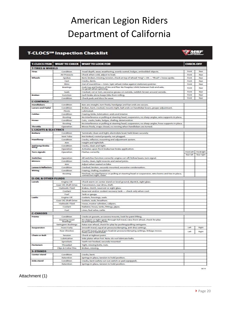#### **T-CLOCS**SM Inspection Checklist



|                                 |                                                                                                     | <b>T-CLOCS ITEM WHAT TO CHECK WHAT TO LOOK FOR</b>                                                                            | <b>CHECK-OFF</b>               |                          |  |
|---------------------------------|-----------------------------------------------------------------------------------------------------|-------------------------------------------------------------------------------------------------------------------------------|--------------------------------|--------------------------|--|
| <b>T-TIRES &amp; WHEELS</b>     |                                                                                                     |                                                                                                                               |                                |                          |  |
| Tires                           | Condition                                                                                           | Tread depth, wear, weathering, evenly seated, bulges, embedded objects.                                                       | Front                          | Rog                      |  |
|                                 | Air Pressure                                                                                        | Check when cold, adjust to load.                                                                                              | Frant                          | Road                     |  |
| Wheels                          | Spokes<br>Bent, broken, missing, tension, check at top of wheel: "ring" = DK  "thud" = loose spoke. |                                                                                                                               |                                |                          |  |
|                                 | Cast                                                                                                | Cracks, dents.                                                                                                                | Front                          | Road                     |  |
|                                 | <b>Rims</b>                                                                                         | Out of round/true -- Smm. Spin wheel, Index against stationary pointer.                                                       | Front                          | Rear                     |  |
|                                 | Bearings                                                                                            | Grab top and bottom of tire and flex: No freeplay (click) between hub and axle,<br>no growl when spinning.                    | Front                          | Road                     |  |
|                                 | Seals                                                                                               | Cracked, cut or torn, excessive grease on outside, reddish-brown around outside.                                              | Front                          | Road                     |  |
| Brakes                          | Function                                                                                            | Each brake alone keeps bike from rolling.                                                                                     | Front                          | Road                     |  |
|                                 | Condition                                                                                           | Check pads and discs for wear.                                                                                                | Front                          | Road                     |  |
| <b>C-CONTROLS</b>               |                                                                                                     |                                                                                                                               |                                |                          |  |
| Handlebars                      | Condition                                                                                           | Bars are straight, turn freely, handgrips and bar ends are secure.                                                            |                                |                          |  |
| <b>Levers and Pedal</b>         | Condition                                                                                           | Broken, bent, cracked, mounts tight, ball ends on handlebar levers, proper adjustment.                                        |                                |                          |  |
|                                 | Plycits                                                                                             | Lubricated                                                                                                                    |                                |                          |  |
| Cables                          | Condition                                                                                           | Fraying, kinks, lubrication: ends and interior.                                                                               |                                |                          |  |
|                                 | Routing                                                                                             | No Interference or pulling at steering head, suspension, no sharp angles, wire supports in place.                             |                                |                          |  |
| Hoses                           | Condition                                                                                           | Cuts, cracks, leaks, bulges, chafing, deterioration.                                                                          |                                |                          |  |
|                                 | Routing                                                                                             | No Interference or pulling at steering head, suspension, no sharp angles, hose supports in place.                             |                                |                          |  |
| Throttie                        | Operation                                                                                           | Moves freely, snaps closed, no revving when handlebars are turned.                                                            |                                |                          |  |
| <b>L-LIGHTS &amp; ELECTRICS</b> |                                                                                                     |                                                                                                                               |                                |                          |  |
| Battery                         | Condition                                                                                           | Terminals; clean and tight; electrolyte level, held down securely.                                                            |                                |                          |  |
|                                 | Vant Tube                                                                                           | Not kinked, routed properly, not plugged.                                                                                     |                                |                          |  |
| Headlamp                        | Condition                                                                                           | Cracks, reflector, mounting and adjustment system.                                                                            |                                |                          |  |
|                                 | Alm                                                                                                 | Height and right/left                                                                                                         |                                |                          |  |
| Tail lamp/brake<br>lamp         | Condition                                                                                           | Cracks, clean and tight.                                                                                                      |                                |                          |  |
|                                 | Operation                                                                                           | Activates upon front brake/rear brake application.                                                                            |                                |                          |  |
| <b>Turn signals</b>             | Operation                                                                                           | Flashes correctly.                                                                                                            | Front loft<br><b>Roar left</b> | Frontright<br>Rear right |  |
| Switches                        | Operation                                                                                           | All switches function correctly: engine cut-off, hi/low beam, turn signal.                                                    |                                |                          |  |
| Milrrors                        | Condition                                                                                           | Cracks, clean, tight mounts and swivel joints.                                                                                |                                |                          |  |
|                                 | Alm                                                                                                 | Adjust when seated on bike.                                                                                                   |                                |                          |  |
| Lenses & Reflectors             | Condition                                                                                           | Cracked, broken, securely mounted, excessive condensation.                                                                    |                                |                          |  |
| Wirting                         | Condition                                                                                           | Fraying, chafing, insulation.                                                                                                 |                                |                          |  |
|                                 | Routling                                                                                            | Pinched, no interference or pulling at steering head or suspension, wire looms and ties in place,<br>connectors tight, clean. |                                |                          |  |
| <b>O-OIL &amp; OTHER FLUIDS</b> |                                                                                                     |                                                                                                                               |                                |                          |  |
| Levels                          | Engine Oil                                                                                          | Check warm on center stand on level ground, dipstick, sight glass.                                                            |                                |                          |  |
|                                 | Gear Oil, Shaft Drive                                                                               | Transmission, rear drive, shaft.                                                                                              |                                |                          |  |
|                                 | Hydraulic Fluid                                                                                     | Brakes, clutch, reservoir or sight glass.                                                                                     |                                |                          |  |
|                                 | Coolant                                                                                             | Reservoir and/or coolant recovery tank - check only when cool.                                                                |                                |                          |  |
|                                 | Fuel                                                                                                | Tank or gauge.                                                                                                                |                                |                          |  |
| Leaks                           | Engine Off                                                                                          | Gaskets, housings, seals.                                                                                                     |                                |                          |  |
|                                 | Gear Oil, Shaft Drive                                                                               | Gaskets, seals, breathers.                                                                                                    |                                |                          |  |
|                                 | Hydraulic Fluid                                                                                     | Hoses, master cylinders, calipers.                                                                                            |                                |                          |  |
|                                 | Coolant                                                                                             | Radiator, hoses, tanks, fittings, pipes.                                                                                      |                                |                          |  |
|                                 | Fuel                                                                                                | Lines, fuel valve, carbs.                                                                                                     |                                |                          |  |
| <b>C-CHASSIS</b>                |                                                                                                     |                                                                                                                               |                                |                          |  |
| Frame                           | Condition                                                                                           | Cracks at gussets, accessory mounts, look for paint lifting.                                                                  |                                |                          |  |
|                                 | Steering Head<br>Boarings                                                                           | No detent or tight spots through full travel, raise front wheel, check for play<br>by pulling/pushing forks.                  |                                |                          |  |
|                                 | Swingarm Bushings                                                                                   | Raise rear wheel, check for play by pushing/pulling swingarm.                                                                 |                                |                          |  |
| Suspension                      | Front Forks                                                                                         | Smooth travel, equal air pressure/damping, anti-dive settings.                                                                |                                | Right                    |  |
|                                 | Rear Shockist                                                                                       | Smooth traval, aqual pre-load/air pressure/damping settings, linkage moves<br>freely and is lubricated.                       | Laft                           | Right                    |  |
| Chain or Belt                   | <b>Tension</b>                                                                                      | Check at tichtest pol                                                                                                         |                                |                          |  |
|                                 | Lubrication                                                                                         | Side plates when hot. Note: do not lubricate belts.                                                                           |                                |                          |  |
|                                 | Sprockets                                                                                           | Teeth not hooked, securely mounted                                                                                            |                                |                          |  |
| Fasteners                       | Threaded                                                                                            | Tight, missing bolts, nuts.                                                                                                   |                                |                          |  |
|                                 | Clips & Cotter Pins                                                                                 | Broken, missing.                                                                                                              |                                |                          |  |
| <b>S-STANDS</b>                 |                                                                                                     |                                                                                                                               |                                |                          |  |
| Center stand                    | Condition                                                                                           | Cracks, bent.                                                                                                                 |                                |                          |  |
|                                 | Retention                                                                                           | Springs in place, tension to hold position.                                                                                   |                                |                          |  |
| Side stand                      | Condition                                                                                           | Cracks, bent (safety cut-out switch or pad equipped).                                                                         |                                |                          |  |
|                                 | Retention:                                                                                          | Springs in place, tension to hold position.                                                                                   |                                |                          |  |

Attachment (1)

 $00/14$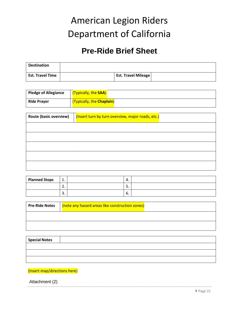### **Pre-Ride Brief Sheet**

| <b>Destination</b>      |                            |  |
|-------------------------|----------------------------|--|
| <b>Est. Travel Time</b> | <b>Est. Travel Mileage</b> |  |

| <b>Pledge of Allegiance</b> | (Typically, the SAA)      |
|-----------------------------|---------------------------|
| <b>Ride Prayer</b>          | (Typically, the Chaplain) |

| <b>Route (basic overview)</b> | (Insert turn by turn overview, major roads, etc.) |
|-------------------------------|---------------------------------------------------|
|                               |                                                   |
|                               |                                                   |
|                               |                                                   |
|                               |                                                   |
|                               |                                                   |

| <b>Planned Stops</b> | -1<br>д. | 4.       |  |
|----------------------|----------|----------|--|
|                      | <u>.</u> | <u>.</u> |  |
|                      | ∽<br>э.  | o.       |  |

| <b>Pre-Ride Notes</b> | (note any hazard areas like construction zones) |
|-----------------------|-------------------------------------------------|
|                       |                                                 |
|                       |                                                 |

| <b>Special Notes</b> |  |
|----------------------|--|
|                      |  |
|                      |  |
|                      |  |

#### (Insert map/directions here)

Attachment (2)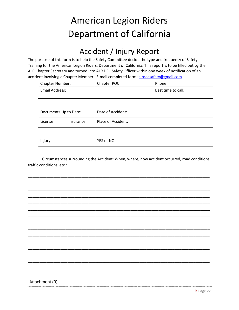### Accident / Injury Report

The purpose of this form is to help the Safety Committee decide the type and frequency of Safety Training for the American Legion Riders, Department of California. This report is to be filled out by the ALR Chapter Secretary and turned into ALR DEC Safety Officer within one week of notification of an accident involving a Chapter Member. E-mail completed form: alrdocsafety@gmail.com

| Chapter Number: | Chapter POC: | Phone              |
|-----------------|--------------|--------------------|
| Email Address:  |              | Best time to call: |
|                 |              |                    |

| Documents Up to Date: |           | Date of Accident:  |
|-----------------------|-----------|--------------------|
| License               | Insurance | Place of Accident: |

| Injury: | YES or NO |
|---------|-----------|
|         |           |

Circumstances surrounding the Accident: When, where, how accident occurred, road conditions, traffic conditions, etc.:



Attachment (3)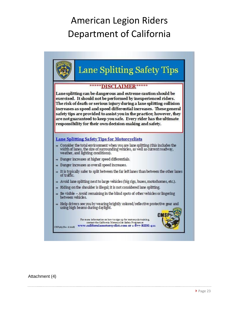

Attachment (4)